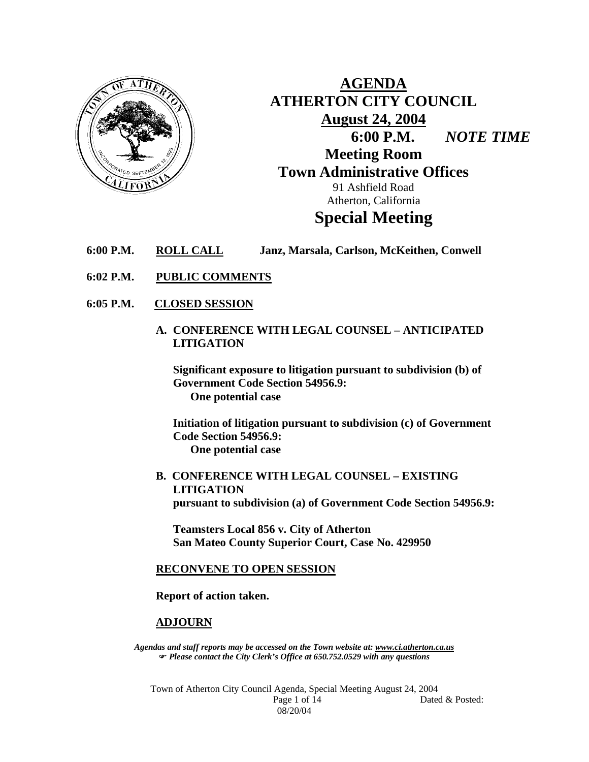

**AGENDA ATHERTON CITY COUNCIL August 24, 2004 6:00 P.M.** *NOTE TIME*  **Meeting Room Town Administrative Offices**  91 Ashfield Road Atherton, California **Special Meeting** 

- **6:00 P.M. ROLL CALL Janz, Marsala, Carlson, McKeithen, Conwell**
- **6:02 P.M. PUBLIC COMMENTS**
- **6:05 P.M. CLOSED SESSION**
	- **A. CONFERENCE WITH LEGAL COUNSEL ANTICIPATED LITIGATION**

**Significant exposure to litigation pursuant to subdivision (b) of Government Code Section 54956.9: One potential case** 

**Initiation of litigation pursuant to subdivision (c) of Government Code Section 54956.9: One potential case** 

**B. CONFERENCE WITH LEGAL COUNSEL – EXISTING LITIGATION pursuant to subdivision (a) of Government Code Section 54956.9:** 

**Teamsters Local 856 v. City of Atherton San Mateo County Superior Court, Case No. 429950** 

#### **RECONVENE TO OPEN SESSION**

**Report of action taken.** 

#### **ADJOURN**

*Agendas and staff reports may be accessed on the Town website at: www.ci.atherton.ca.us* ) *Please contact the City Clerk's Office at 650.752.0529 with any questions* 

Town of Atherton City Council Agenda, Special Meeting August 24, 2004 Page 1 of 14 Dated & Posted: 08/20/04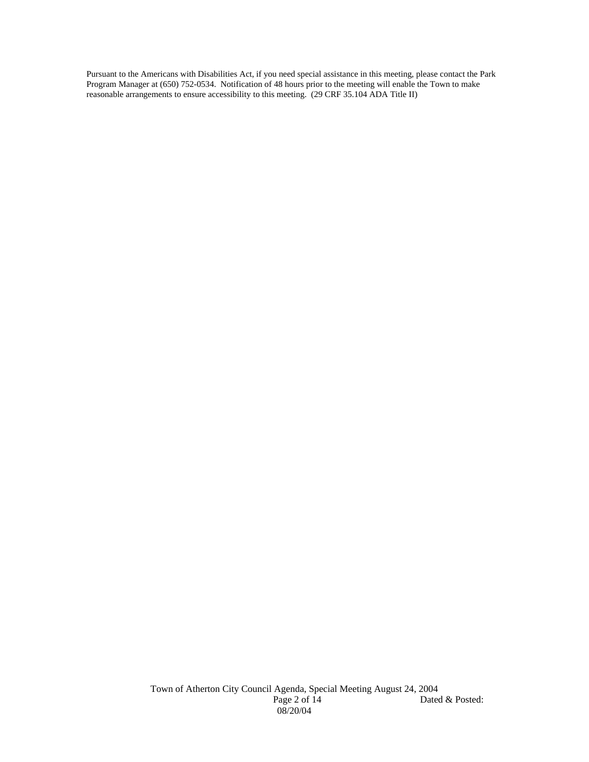Pursuant to the Americans with Disabilities Act, if you need special assistance in this meeting, please contact the Park Program Manager at (650) 752-0534. Notification of 48 hours prior to the meeting will enable the Town to make reasonable arrangements to ensure accessibility to this meeting. (29 CRF 35.104 ADA Title II)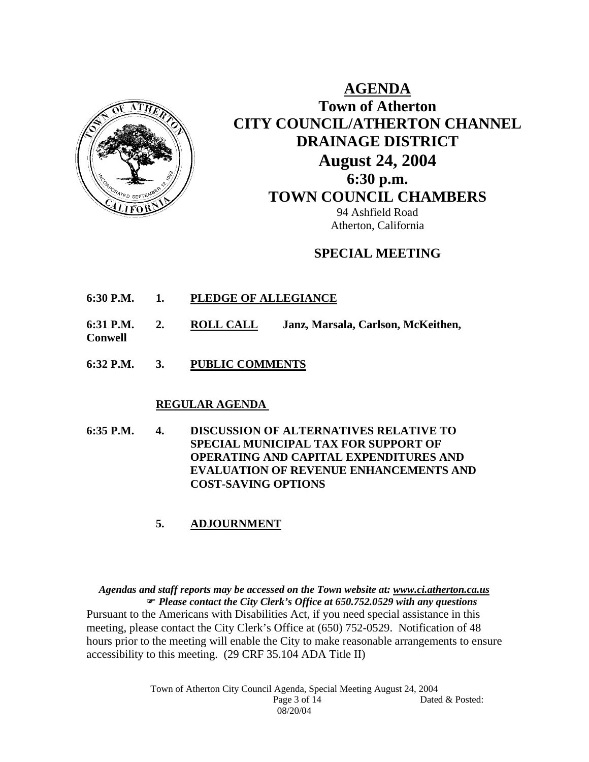

**AGENDA Town of Atherton CITY COUNCIL/ATHERTON CHANNEL DRAINAGE DISTRICT August 24, 2004 6:30 p.m. TOWN COUNCIL CHAMBERS** 94 Ashfield Road

## **SPECIAL MEETING**

Atherton, California

- **6:30 P.M. 1. PLEDGE OF ALLEGIANCE**
- **6:31 P.M. 2. ROLL CALL Janz, Marsala, Carlson, McKeithen,**
- **Conwell**
- **6:32 P.M. 3. PUBLIC COMMENTS**

#### **REGULAR AGENDA**

**6:35 P.M. 4. DISCUSSION OF ALTERNATIVES RELATIVE TO SPECIAL MUNICIPAL TAX FOR SUPPORT OF OPERATING AND CAPITAL EXPENDITURES AND EVALUATION OF REVENUE ENHANCEMENTS AND COST-SAVING OPTIONS** 

#### **5. ADJOURNMENT**

*Agendas and staff reports may be accessed on the Town website at: www.ci.atherton.ca.us* ) *Please contact the City Clerk's Office at 650.752.0529 with any questions*  Pursuant to the Americans with Disabilities Act, if you need special assistance in this meeting, please contact the City Clerk's Office at (650) 752-0529. Notification of 48 hours prior to the meeting will enable the City to make reasonable arrangements to ensure accessibility to this meeting. (29 CRF 35.104 ADA Title II)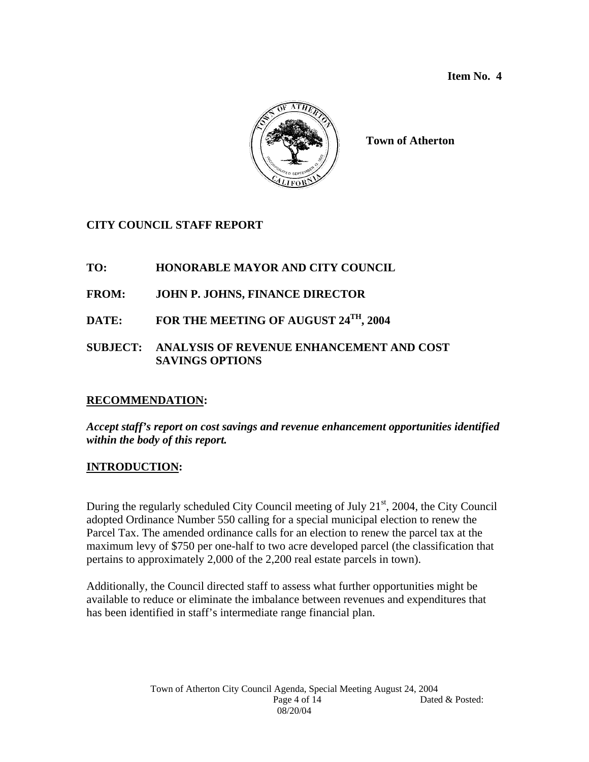

**Town of Atherton** 

# **CITY COUNCIL STAFF REPORT**

# **TO: HONORABLE MAYOR AND CITY COUNCIL**

# **FROM: JOHN P. JOHNS, FINANCE DIRECTOR**

# **DATE: FOR THE MEETING OF AUGUST 24TH, 2004**

### **SUBJECT: ANALYSIS OF REVENUE ENHANCEMENT AND COST SAVINGS OPTIONS**

# **RECOMMENDATION:**

### *Accept staff's report on cost savings and revenue enhancement opportunities identified within the body of this report.*

### **INTRODUCTION:**

During the regularly scheduled City Council meeting of July  $21<sup>st</sup>$ , 2004, the City Council adopted Ordinance Number 550 calling for a special municipal election to renew the Parcel Tax. The amended ordinance calls for an election to renew the parcel tax at the maximum levy of \$750 per one-half to two acre developed parcel (the classification that pertains to approximately 2,000 of the 2,200 real estate parcels in town).

Additionally, the Council directed staff to assess what further opportunities might be available to reduce or eliminate the imbalance between revenues and expenditures that has been identified in staff's intermediate range financial plan.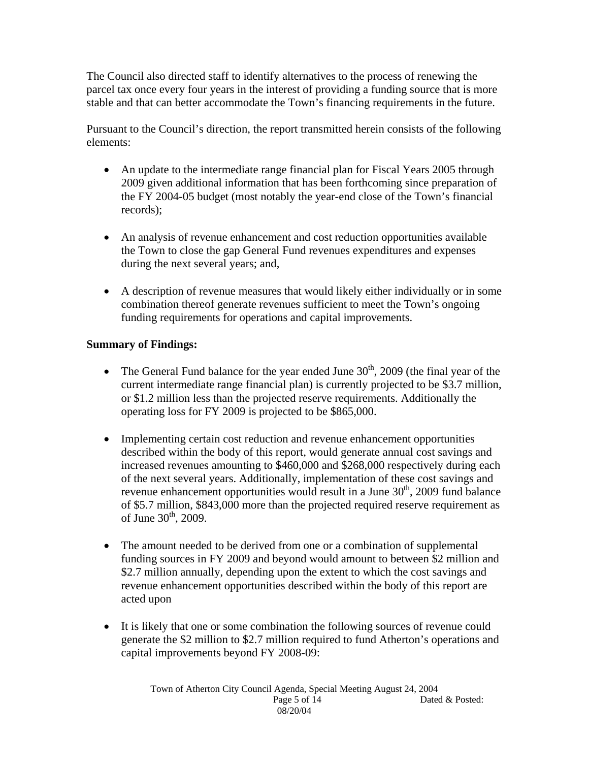The Council also directed staff to identify alternatives to the process of renewing the parcel tax once every four years in the interest of providing a funding source that is more stable and that can better accommodate the Town's financing requirements in the future.

Pursuant to the Council's direction, the report transmitted herein consists of the following elements:

- An update to the intermediate range financial plan for Fiscal Years 2005 through 2009 given additional information that has been forthcoming since preparation of the FY 2004-05 budget (most notably the year-end close of the Town's financial records);
- An analysis of revenue enhancement and cost reduction opportunities available the Town to close the gap General Fund revenues expenditures and expenses during the next several years; and,
- A description of revenue measures that would likely either individually or in some combination thereof generate revenues sufficient to meet the Town's ongoing funding requirements for operations and capital improvements.

# **Summary of Findings:**

- The General Fund balance for the year ended June  $30<sup>th</sup>$ , 2009 (the final year of the current intermediate range financial plan) is currently projected to be \$3.7 million, or \$1.2 million less than the projected reserve requirements. Additionally the operating loss for FY 2009 is projected to be \$865,000.
- Implementing certain cost reduction and revenue enhancement opportunities described within the body of this report, would generate annual cost savings and increased revenues amounting to \$460,000 and \$268,000 respectively during each of the next several years. Additionally, implementation of these cost savings and revenue enhancement opportunities would result in a June  $30<sup>th</sup>$ , 2009 fund balance of \$5.7 million, \$843,000 more than the projected required reserve requirement as of June  $30^{th}$ , 2009.
- The amount needed to be derived from one or a combination of supplemental funding sources in FY 2009 and beyond would amount to between \$2 million and \$2.7 million annually, depending upon the extent to which the cost savings and revenue enhancement opportunities described within the body of this report are acted upon
- It is likely that one or some combination the following sources of revenue could generate the \$2 million to \$2.7 million required to fund Atherton's operations and capital improvements beyond FY 2008-09: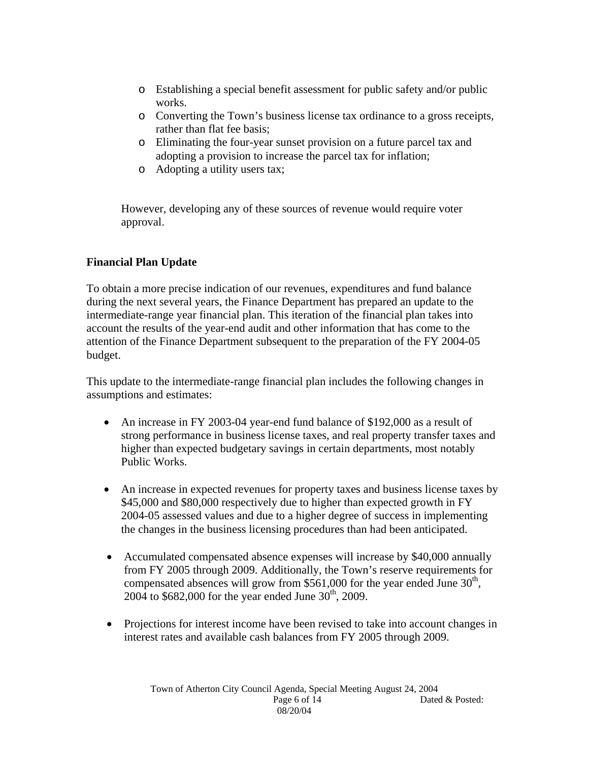- o Establishing a special benefit assessment for public safety and/or public works.
- o Converting the Town's business license tax ordinance to a gross receipts, rather than flat fee basis;
- o Eliminating the four-year sunset provision on a future parcel tax and adopting a provision to increase the parcel tax for inflation;
- o Adopting a utility users tax;

However, developing any of these sources of revenue would require voter approval.

# **Financial Plan Update**

To obtain a more precise indication of our revenues, expenditures and fund balance during the next several years, the Finance Department has prepared an update to the intermediate-range year financial plan. This iteration of the financial plan takes into account the results of the year-end audit and other information that has come to the attention of the Finance Department subsequent to the preparation of the FY 2004-05 budget.

This update to the intermediate-range financial plan includes the following changes in assumptions and estimates:

- An increase in FY 2003-04 year-end fund balance of \$192,000 as a result of strong performance in business license taxes, and real property transfer taxes and higher than expected budgetary savings in certain departments, most notably Public Works.
- An increase in expected revenues for property taxes and business license taxes by \$45,000 and \$80,000 respectively due to higher than expected growth in FY 2004-05 assessed values and due to a higher degree of success in implementing the changes in the business licensing procedures than had been anticipated.
- Accumulated compensated absence expenses will increase by \$40,000 annually from FY 2005 through 2009. Additionally, the Town's reserve requirements for compensated absences will grow from \$561,000 for the year ended June  $30<sup>th</sup>$ , 2004 to \$682,000 for the year ended June  $30^{th}$ , 2009.
- Projections for interest income have been revised to take into account changes in interest rates and available cash balances from FY 2005 through 2009.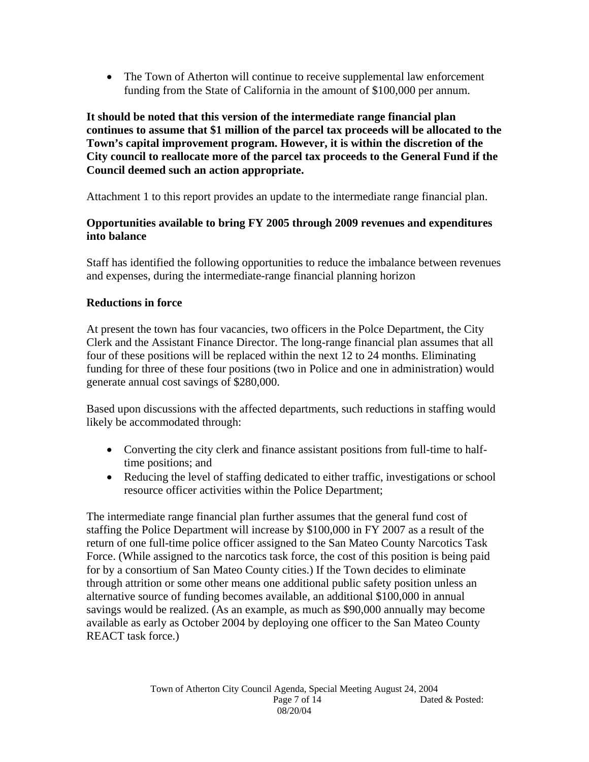• The Town of Atherton will continue to receive supplemental law enforcement funding from the State of California in the amount of \$100,000 per annum.

**It should be noted that this version of the intermediate range financial plan continues to assume that \$1 million of the parcel tax proceeds will be allocated to the Town's capital improvement program. However, it is within the discretion of the City council to reallocate more of the parcel tax proceeds to the General Fund if the Council deemed such an action appropriate.** 

Attachment 1 to this report provides an update to the intermediate range financial plan.

# **Opportunities available to bring FY 2005 through 2009 revenues and expenditures into balance**

Staff has identified the following opportunities to reduce the imbalance between revenues and expenses, during the intermediate-range financial planning horizon

# **Reductions in force**

At present the town has four vacancies, two officers in the Polce Department, the City Clerk and the Assistant Finance Director. The long-range financial plan assumes that all four of these positions will be replaced within the next 12 to 24 months. Eliminating funding for three of these four positions (two in Police and one in administration) would generate annual cost savings of \$280,000.

Based upon discussions with the affected departments, such reductions in staffing would likely be accommodated through:

- Converting the city clerk and finance assistant positions from full-time to halftime positions; and
- Reducing the level of staffing dedicated to either traffic, investigations or school resource officer activities within the Police Department;

The intermediate range financial plan further assumes that the general fund cost of staffing the Police Department will increase by \$100,000 in FY 2007 as a result of the return of one full-time police officer assigned to the San Mateo County Narcotics Task Force. (While assigned to the narcotics task force, the cost of this position is being paid for by a consortium of San Mateo County cities.) If the Town decides to eliminate through attrition or some other means one additional public safety position unless an alternative source of funding becomes available, an additional \$100,000 in annual savings would be realized. (As an example, as much as \$90,000 annually may become available as early as October 2004 by deploying one officer to the San Mateo County REACT task force.)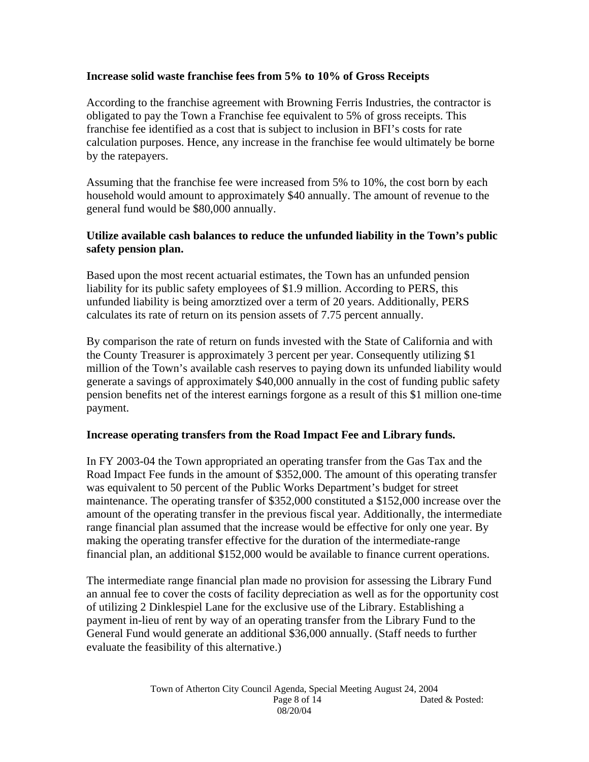#### **Increase solid waste franchise fees from 5% to 10% of Gross Receipts**

According to the franchise agreement with Browning Ferris Industries, the contractor is obligated to pay the Town a Franchise fee equivalent to 5% of gross receipts. This franchise fee identified as a cost that is subject to inclusion in BFI's costs for rate calculation purposes. Hence, any increase in the franchise fee would ultimately be borne by the ratepayers.

Assuming that the franchise fee were increased from 5% to 10%, the cost born by each household would amount to approximately \$40 annually. The amount of revenue to the general fund would be \$80,000 annually.

#### **Utilize available cash balances to reduce the unfunded liability in the Town's public safety pension plan.**

Based upon the most recent actuarial estimates, the Town has an unfunded pension liability for its public safety employees of \$1.9 million. According to PERS, this unfunded liability is being amorztized over a term of 20 years. Additionally, PERS calculates its rate of return on its pension assets of 7.75 percent annually.

By comparison the rate of return on funds invested with the State of California and with the County Treasurer is approximately 3 percent per year. Consequently utilizing \$1 million of the Town's available cash reserves to paying down its unfunded liability would generate a savings of approximately \$40,000 annually in the cost of funding public safety pension benefits net of the interest earnings forgone as a result of this \$1 million one-time payment.

#### **Increase operating transfers from the Road Impact Fee and Library funds.**

In FY 2003-04 the Town appropriated an operating transfer from the Gas Tax and the Road Impact Fee funds in the amount of \$352,000. The amount of this operating transfer was equivalent to 50 percent of the Public Works Department's budget for street maintenance. The operating transfer of \$352,000 constituted a \$152,000 increase over the amount of the operating transfer in the previous fiscal year. Additionally, the intermediate range financial plan assumed that the increase would be effective for only one year. By making the operating transfer effective for the duration of the intermediate-range financial plan, an additional \$152,000 would be available to finance current operations.

The intermediate range financial plan made no provision for assessing the Library Fund an annual fee to cover the costs of facility depreciation as well as for the opportunity cost of utilizing 2 Dinklespiel Lane for the exclusive use of the Library. Establishing a payment in-lieu of rent by way of an operating transfer from the Library Fund to the General Fund would generate an additional \$36,000 annually. (Staff needs to further evaluate the feasibility of this alternative.)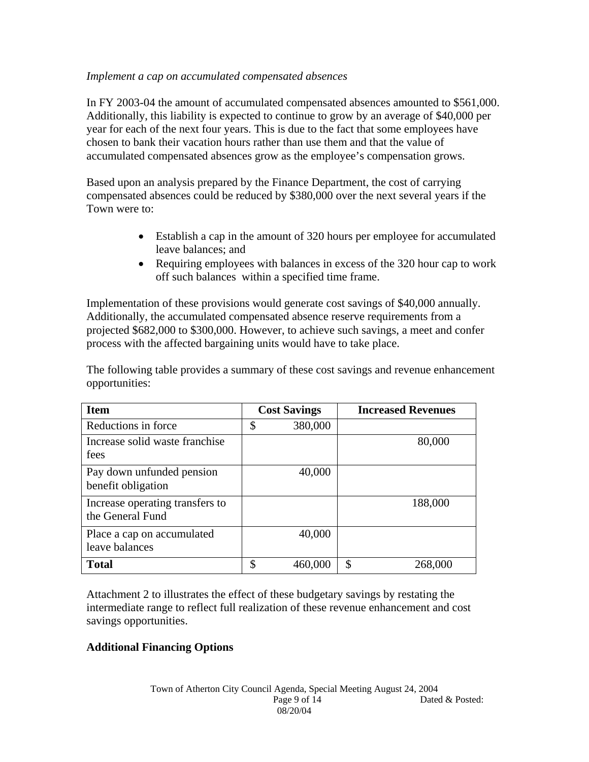#### *Implement a cap on accumulated compensated absences*

In FY 2003-04 the amount of accumulated compensated absences amounted to \$561,000. Additionally, this liability is expected to continue to grow by an average of \$40,000 per year for each of the next four years. This is due to the fact that some employees have chosen to bank their vacation hours rather than use them and that the value of accumulated compensated absences grow as the employee's compensation grows.

Based upon an analysis prepared by the Finance Department, the cost of carrying compensated absences could be reduced by \$380,000 over the next several years if the Town were to:

- Establish a cap in the amount of 320 hours per employee for accumulated leave balances; and
- Requiring employees with balances in excess of the 320 hour cap to work off such balances within a specified time frame.

Implementation of these provisions would generate cost savings of \$40,000 annually. Additionally, the accumulated compensated absence reserve requirements from a projected \$682,000 to \$300,000. However, to achieve such savings, a meet and confer process with the affected bargaining units would have to take place.

The following table provides a summary of these cost savings and revenue enhancement opportunities:

| <b>Item</b>                                         | <b>Cost Savings</b> | <b>Increased Revenues</b> |
|-----------------------------------------------------|---------------------|---------------------------|
| Reductions in force                                 | \$<br>380,000       |                           |
| Increase solid waste franchise<br>fees              |                     | 80,000                    |
| Pay down unfunded pension<br>benefit obligation     | 40,000              |                           |
| Increase operating transfers to<br>the General Fund |                     | 188,000                   |
| Place a cap on accumulated<br>leave balances        | 40,000              |                           |
| <b>Total</b>                                        | \$<br>460,000       | \$<br>268,000             |

Attachment 2 to illustrates the effect of these budgetary savings by restating the intermediate range to reflect full realization of these revenue enhancement and cost savings opportunities.

### **Additional Financing Options**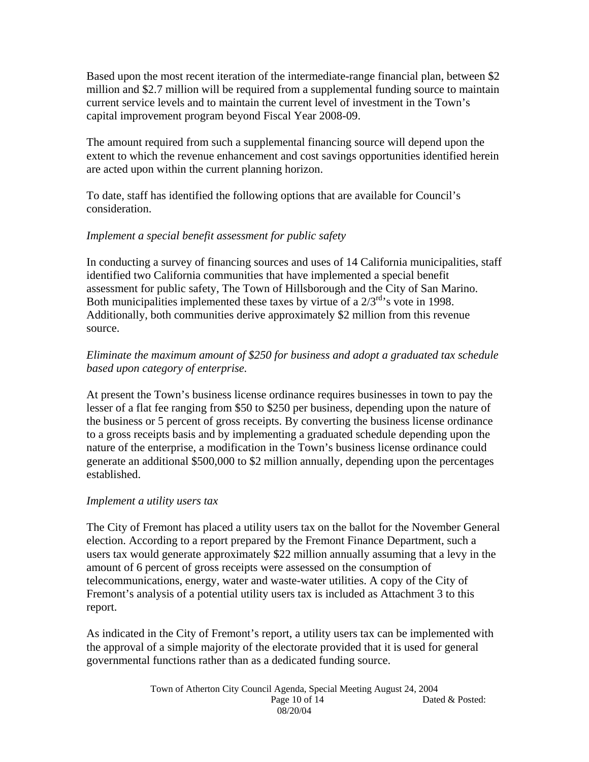Based upon the most recent iteration of the intermediate-range financial plan, between \$2 million and \$2.7 million will be required from a supplemental funding source to maintain current service levels and to maintain the current level of investment in the Town's capital improvement program beyond Fiscal Year 2008-09.

The amount required from such a supplemental financing source will depend upon the extent to which the revenue enhancement and cost savings opportunities identified herein are acted upon within the current planning horizon.

To date, staff has identified the following options that are available for Council's consideration.

## *Implement a special benefit assessment for public safety*

In conducting a survey of financing sources and uses of 14 California municipalities, staff identified two California communities that have implemented a special benefit assessment for public safety, The Town of Hillsborough and the City of San Marino. Both municipalities implemented these taxes by virtue of a  $2/3^{rd}$ 's vote in 1998. Additionally, both communities derive approximately \$2 million from this revenue source.

## *Eliminate the maximum amount of \$250 for business and adopt a graduated tax schedule based upon category of enterprise.*

At present the Town's business license ordinance requires businesses in town to pay the lesser of a flat fee ranging from \$50 to \$250 per business, depending upon the nature of the business or 5 percent of gross receipts. By converting the business license ordinance to a gross receipts basis and by implementing a graduated schedule depending upon the nature of the enterprise, a modification in the Town's business license ordinance could generate an additional \$500,000 to \$2 million annually, depending upon the percentages established.

### *Implement a utility users tax*

The City of Fremont has placed a utility users tax on the ballot for the November General election. According to a report prepared by the Fremont Finance Department, such a users tax would generate approximately \$22 million annually assuming that a levy in the amount of 6 percent of gross receipts were assessed on the consumption of telecommunications, energy, water and waste-water utilities. A copy of the City of Fremont's analysis of a potential utility users tax is included as Attachment 3 to this report.

As indicated in the City of Fremont's report, a utility users tax can be implemented with the approval of a simple majority of the electorate provided that it is used for general governmental functions rather than as a dedicated funding source.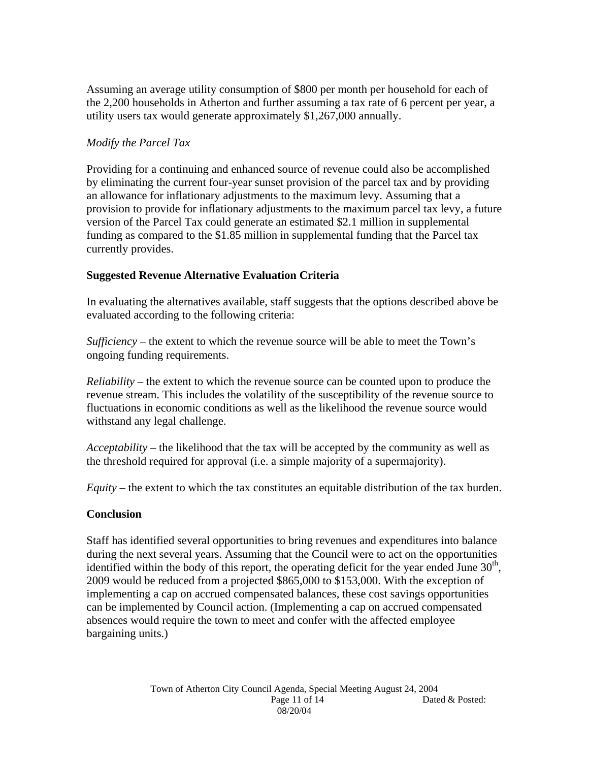Assuming an average utility consumption of \$800 per month per household for each of the 2,200 households in Atherton and further assuming a tax rate of 6 percent per year, a utility users tax would generate approximately \$1,267,000 annually.

## *Modify the Parcel Tax*

Providing for a continuing and enhanced source of revenue could also be accomplished by eliminating the current four-year sunset provision of the parcel tax and by providing an allowance for inflationary adjustments to the maximum levy. Assuming that a provision to provide for inflationary adjustments to the maximum parcel tax levy, a future version of the Parcel Tax could generate an estimated \$2.1 million in supplemental funding as compared to the \$1.85 million in supplemental funding that the Parcel tax currently provides.

## **Suggested Revenue Alternative Evaluation Criteria**

In evaluating the alternatives available, staff suggests that the options described above be evaluated according to the following criteria:

*Sufficiency* – the extent to which the revenue source will be able to meet the Town's ongoing funding requirements.

*Reliability* – the extent to which the revenue source can be counted upon to produce the revenue stream. This includes the volatility of the susceptibility of the revenue source to fluctuations in economic conditions as well as the likelihood the revenue source would withstand any legal challenge.

*Acceptability* – the likelihood that the tax will be accepted by the community as well as the threshold required for approval (i.e. a simple majority of a supermajority).

*Equity* – the extent to which the tax constitutes an equitable distribution of the tax burden.

### **Conclusion**

Staff has identified several opportunities to bring revenues and expenditures into balance during the next several years. Assuming that the Council were to act on the opportunities identified within the body of this report, the operating deficit for the year ended June  $30<sup>th</sup>$ , 2009 would be reduced from a projected \$865,000 to \$153,000. With the exception of implementing a cap on accrued compensated balances, these cost savings opportunities can be implemented by Council action. (Implementing a cap on accrued compensated absences would require the town to meet and confer with the affected employee bargaining units.)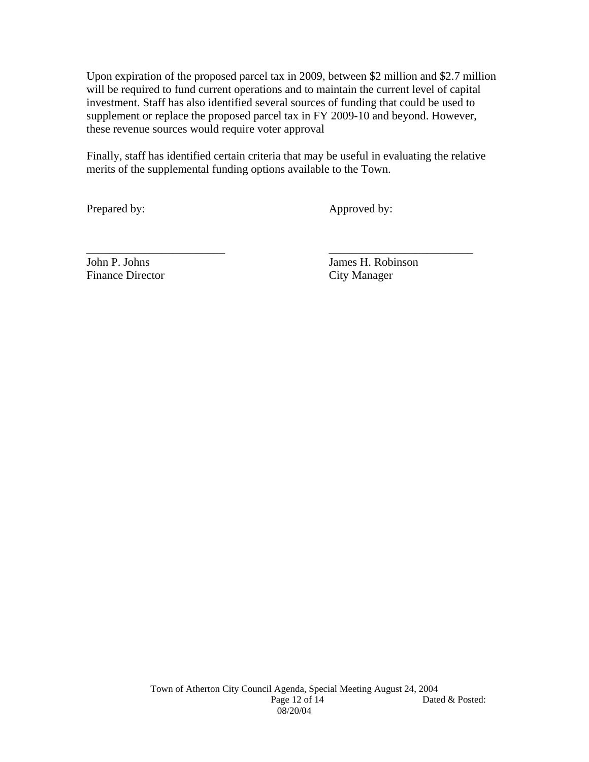Upon expiration of the proposed parcel tax in 2009, between \$2 million and \$2.7 million will be required to fund current operations and to maintain the current level of capital investment. Staff has also identified several sources of funding that could be used to supplement or replace the proposed parcel tax in FY 2009-10 and beyond. However, these revenue sources would require voter approval

Finally, staff has identified certain criteria that may be useful in evaluating the relative merits of the supplemental funding options available to the Town.

\_\_\_\_\_\_\_\_\_\_\_\_\_\_\_\_\_\_\_\_\_\_\_\_ \_\_\_\_\_\_\_\_\_\_\_\_\_\_\_\_\_\_\_\_\_\_\_\_\_

Prepared by: Approved by:

Finance Director City Manager

John P. Johns James H. Robinson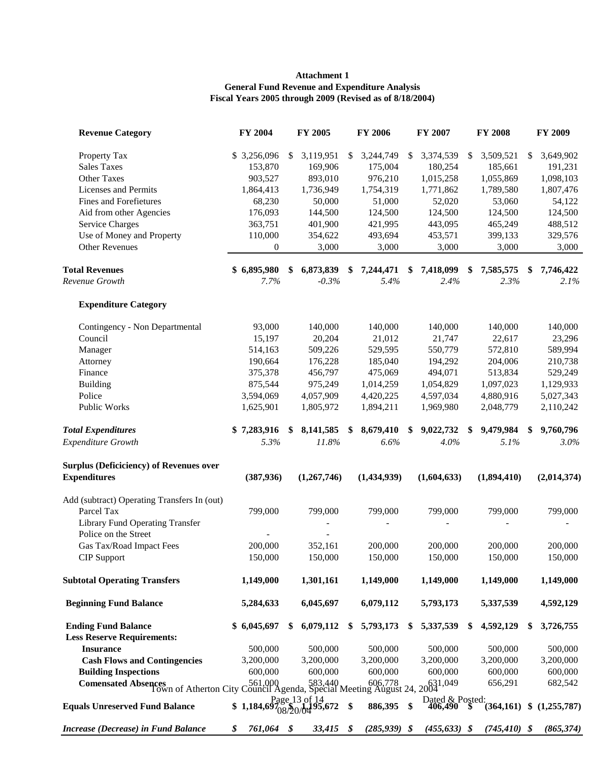#### **General Fund Revenue and Expenditure Analysis Fiscal Years 2005 through 2009 (Revised as of 8/18/2004) Attachment 1**

| <b>Revenue Category</b>                                                                           | FY 2004          |     | <b>FY 2005</b>                                 |               | <b>FY 2006</b>  |    | <b>FY 2007</b>                |    | <b>FY 2008</b>  | FY 2009           |
|---------------------------------------------------------------------------------------------------|------------------|-----|------------------------------------------------|---------------|-----------------|----|-------------------------------|----|-----------------|-------------------|
| Property Tax                                                                                      | \$3,256,096      | \$  | 3,119,951                                      | $\mathbb{S}$  | 3,244,749       | S. | 3,374,539                     | \$ | 3,509,521       | \$<br>3,649,902   |
| <b>Sales Taxes</b>                                                                                | 153,870          |     | 169,906                                        |               | 175,004         |    | 180,254                       |    | 185,661         | 191,231           |
| Other Taxes                                                                                       | 903,527          |     | 893,010                                        |               | 976,210         |    | 1,015,258                     |    | 1,055,869       | 1,098,103         |
| <b>Licenses and Permits</b>                                                                       | 1,864,413        |     | 1,736,949                                      |               | 1,754,319       |    | 1,771,862                     |    | 1,789,580       | 1,807,476         |
| Fines and Forefietures                                                                            | 68,230           |     | 50,000                                         |               | 51,000          |    | 52,020                        |    | 53,060          | 54,122            |
| Aid from other Agencies                                                                           | 176,093          |     | 144,500                                        |               | 124,500         |    | 124,500                       |    | 124,500         | 124,500           |
| <b>Service Charges</b>                                                                            | 363,751          |     | 401,900                                        |               | 421,995         |    | 443,095                       |    | 465,249         | 488,512           |
| Use of Money and Property                                                                         | 110,000          |     | 354,622                                        |               | 493,694         |    | 453,571                       |    | 399,133         | 329,576           |
| <b>Other Revenues</b>                                                                             | $\mathbf{0}$     |     | 3,000                                          |               | 3,000           |    | 3,000                         |    | 3,000           | 3,000             |
| <b>Total Revenues</b>                                                                             | \$6,895,980      | \$  | 6,873,839                                      | \$            | 7,244,471       | \$ | 7,418,099                     | S  | 7,585,575       | \$<br>7,746,422   |
| Revenue Growth                                                                                    | 7.7%             |     | $-0.3%$                                        |               | 5.4%            |    | 2.4%                          |    | 2.3%            | 2.1%              |
| <b>Expenditure Category</b>                                                                       |                  |     |                                                |               |                 |    |                               |    |                 |                   |
| Contingency - Non Departmental                                                                    | 93,000           |     | 140,000                                        |               | 140,000         |    | 140,000                       |    | 140,000         | 140,000           |
| Council                                                                                           | 15,197           |     | 20,204                                         |               | 21,012          |    | 21,747                        |    | 22,617          | 23,296            |
| Manager                                                                                           | 514,163          |     | 509,226                                        |               | 529,595         |    | 550,779                       |    | 572,810         | 589,994           |
| Attorney                                                                                          | 190,664          |     | 176,228                                        |               | 185,040         |    | 194,292                       |    | 204,006         | 210,738           |
| Finance                                                                                           | 375,378          |     | 456,797                                        |               | 475,069         |    | 494,071                       |    | 513,834         | 529,249           |
| <b>Building</b>                                                                                   | 875,544          |     | 975,249                                        |               | 1,014,259       |    | 1,054,829                     |    | 1,097,023       | 1,129,933         |
| Police                                                                                            | 3,594,069        |     | 4,057,909                                      |               | 4,420,225       |    | 4,597,034                     |    | 4,880,916       | 5,027,343         |
| Public Works                                                                                      | 1,625,901        |     | 1,805,972                                      |               | 1,894,211       |    | 1,969,980                     |    | 2,048,779       | 2,110,242         |
| <b>Total Expenditures</b>                                                                         | \$7,283,916      | \$. | 8,141,585                                      | \$            | 8,679,410       | S. | 9,022,732                     | S  | 9,479,984       | \$<br>9,760,796   |
| <b>Expenditure Growth</b>                                                                         | 5.3%             |     | 11.8%                                          |               | 6.6%            |    | 4.0%                          |    | 5.1%            | 3.0%              |
| <b>Surplus (Deficiciency) of Revenues over</b>                                                    |                  |     |                                                |               |                 |    |                               |    |                 |                   |
| <b>Expenditures</b>                                                                               | (387, 936)       |     | (1,267,746)                                    |               | (1,434,939)     |    | (1,604,633)                   |    | (1,894,410)     | (2,014,374)       |
| Add (subtract) Operating Transfers In (out)                                                       |                  |     |                                                |               |                 |    |                               |    |                 |                   |
| Parcel Tax                                                                                        | 799,000          |     | 799,000                                        |               | 799,000         |    | 799,000                       |    | 799,000         | 799,000           |
| <b>Library Fund Operating Transfer</b>                                                            |                  |     |                                                |               |                 |    |                               |    |                 |                   |
| Police on the Street                                                                              |                  |     |                                                |               |                 |    |                               |    |                 |                   |
| Gas Tax/Road Impact Fees                                                                          | 200,000          |     | 352,161                                        |               | 200,000         |    | 200,000                       |    | 200,000         | 200,000           |
| CIP Support                                                                                       | 150,000          |     | 150,000                                        |               | 150,000         |    | 150,000                       |    | 150,000         | 150,000           |
| <b>Subtotal Operating Transfers</b>                                                               | 1,149,000        |     | 1,301,161                                      |               | 1,149,000       |    | 1,149,000                     |    | 1,149,000       | 1,149,000         |
| <b>Beginning Fund Balance</b>                                                                     | 5,284,633        |     | 6,045,697                                      |               | 6,079,112       |    | 5,793,173                     |    | 5,337,539       | 4,592,129         |
| <b>Ending Fund Balance</b>                                                                        | \$6,045,697      | \$  | 6,079,112                                      | \$            | 5,793,173       | S. | 5,337,539                     | \$ | 4,592,129       | \$<br>3,726,755   |
| <b>Less Reserve Requirements:</b>                                                                 |                  |     |                                                |               |                 |    |                               |    |                 |                   |
| <b>Insurance</b>                                                                                  | 500,000          |     | 500,000                                        |               | 500,000         |    | 500,000                       |    | 500,000         | 500,000           |
| <b>Cash Flows and Contingencies</b>                                                               | 3,200,000        |     | 3,200,000                                      |               | 3,200,000       |    | 3,200,000                     |    | 3,200,000       | 3,200,000         |
| <b>Building Inspections</b>                                                                       | 600,000          |     | 600,000                                        |               | 600,000         |    | 600,000                       |    | 600,000         | 600,000           |
| Comensated Absences<br>Town of Atherton City Council Agenda, Special Meeting August 24, 20631,049 |                  |     |                                                |               |                 |    |                               |    | 656,291         | 682,542           |
| <b>Equals Unreserved Fund Balance</b>                                                             | \$1,184,69       |     | Page 13 of 14<br>97 <sub>08/20/04</sub> 95,672 | $\mathbf{\$}$ | 886,395         | \$ | Dated & Posted:<br>406,490 \$ |    | (364, 161)      | \$<br>(1,255,787) |
| Increase (Decrease) in Fund Balance                                                               | \$<br>761,064 \$ |     | 33,415                                         | \$            | $(285, 939)$ \$ |    | $(455, 633)$ \$               |    | $(745, 410)$ \$ | (865, 374)        |